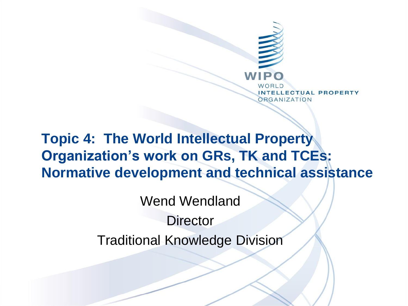

### **Topic 4: The World Intellectual Property Organization's work on GRs, TK and TCEs: Normative development and technical assistance**

Wend Wendland **Director** Traditional Knowledge Division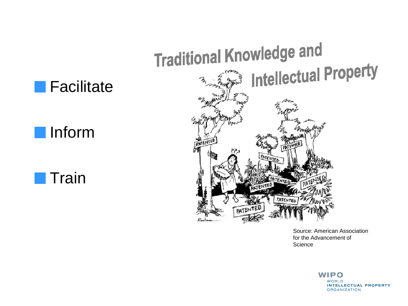







Source: American Association for the Advancement of **Science** 

> **WIPO WORLD INTELLECTUAL PROPERTY ORGANIZATION**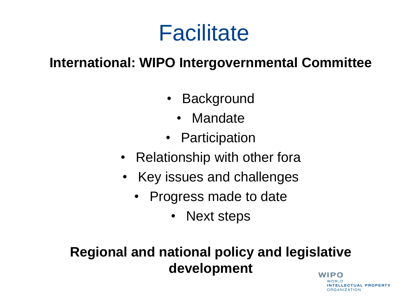# **Facilitate**

#### **International: WIPO Intergovernmental Committee**

- Background
	- Mandate
- Participation
- Relationship with other fora
- Key issues and challenges
	- Progress made to date
		- Next steps

#### **Regional and national policy and legislative developmentWIPO**

**NTELLECTUAL PROPERTY ORGANIZATION**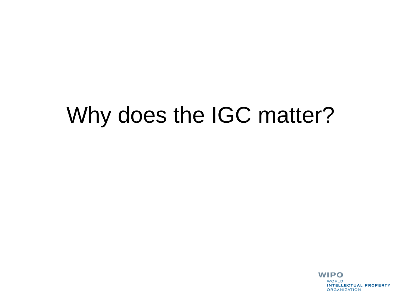# Why does the IGC matter?

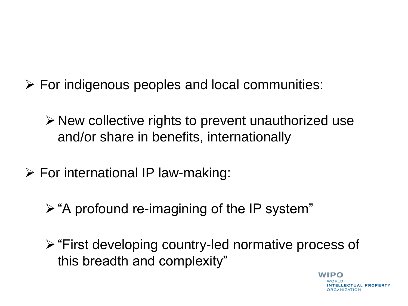- $\triangleright$  For indigenous peoples and local communities:
	- $\triangleright$  New collective rights to prevent unauthorized use and/or share in benefits, internationally
- $\triangleright$  For international IP law-making:
	- $\triangleright$  "A profound re-imagining of the IP system"
	- $\triangleright$  "First developing country-led normative process of this breadth and complexity"

WIDO **LECTUAL PROPERTY RGANIZATION**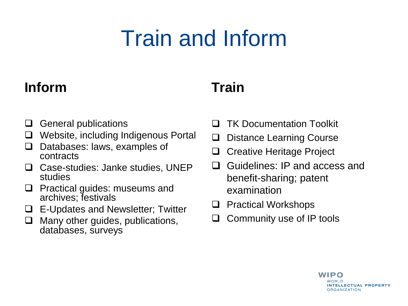# Train and Inform

#### **Inform**

#### **Train**

- $\Box$  General publications
- □ Website, including Indigenous Portal
- $\Box$  Databases: laws, examples of contracts
- □ Case-studies: Janke studies, UNEP studies
- $\Box$  Practical guides: museums and archives; festivals
- $\Box$  E-Updates and Newsletter; Twitter
- $\Box$  Many other guides, publications, databases, surveys
- **TK Documentation Toolkit**
- □ Distance Learning Course
- □ Creative Heritage Project
- □ Guidelines: IP and access and benefit-sharing; patent examination
- $\Box$  Practical Workshops
- $\Box$  Community use of IP tools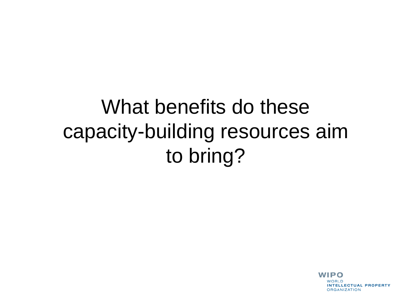## What benefits do these capacity-building resources aim to bring?